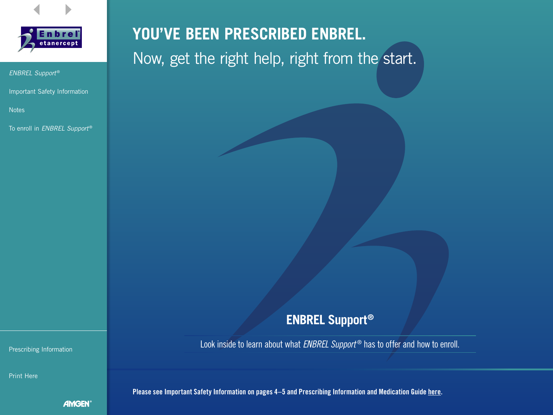



Important Safety Information

**Notes** 

To enroll in *ENBREL Support* ®

# **YOU'VE BEEN PRESCRIBED ENBREL.** Now, get the right help, right from the start.

# **ENBREL Support®**

Look inside to learn about what *ENBREL Support* ® has to offer and how to enroll. Prescribing Information

Please see Important Safety Information on pages 4-5 and Prescribing Information and Medication Guide here.

Print Here

AMGEN®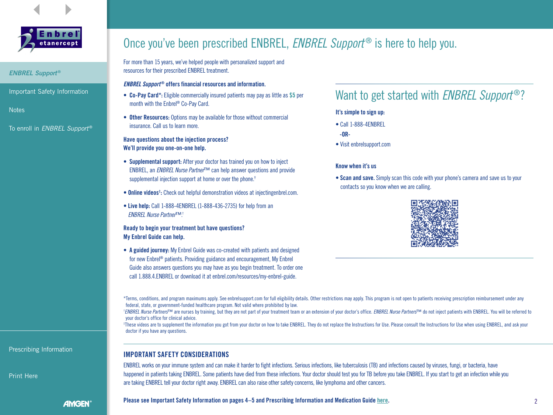



- *ENBREL Support* ®
- Important Safety Information
- **Notes**
- To enroll in *ENBREL Support* ®

# Once you've been prescribed ENBREL, *ENBREL Support<sup>®</sup>* is here to help you.

For more than 15 years, we've helped people with personalized support and resources for their prescribed ENBREL treatment.

#### *ENBREL Support<sup>®</sup>* offers financial resources and information.

- Co-Pay Card\*: Eligible commercially insured patients may pay as little as \$5 per month with the Enbrel® Co-Pay Card.
- Other Resources: Options may be available for those without commercial insurance. Call us to learn more.

#### Have questions about the injection process? We'll provide you one-on-one help.

- Supplemental support: After your doctor has trained you on how to inject ENBREL, an *ENBREL Nurse Partner*™ can help answer questions and provide supplemental injection support at home or over the phone.†
- **Online videos**<sup>#</sup>: Check out helpful demonstration videos at injectingenbrel.com.
- Live help: Call 1-888-4ENBREL (1-888-436-2735) for help from an *ENBREL Nurse Partner*™.†

#### Ready to begin your treatment but have questions? My Enbrel Guide can help.

• A guided journey: My Enbrel Guide was co-created with patients and designed for new Enbrel® patients. Providing guidance and encouragement, My Enbrel Guide also answers questions you may have as you begin treatment. To order one call 1.888.4.ENBREL or download it at enbrel.com/resources/my-enbrel-guide.

### Want to get started with *ENBREL Support* ®?

#### It's simple to sign up:

- Call 1-888-4ENBREL
- -OR-
- Visit enbrelsupport.com

#### Know when it's us

• Scan and save. Simply scan this code with your phone's camera and save us to your contacts so you know when we are calling.



\*Terms, conditions, and program maximums apply. See enbrelsupport.com for full eligibility details. Other restrictions may apply. This program is not open to patients receiving prescription reimbursement under any federal, state, or government-funded healthcare program. Not valid where prohibited by law.

\*ENBREL Nurse Partners™ are nurses by training, but they are not part of your treatment team or an extension of your doctor's office. ENBREL Nurse Partners™ do not inject patients with ENBREL. You will be referred to your doctor's office for clinical advice.

‡ These videos are to supplement the information you got from your doctor on how to take ENBREL. They do not replace the Instructions for Use. Please consult the Instructions for Use when using ENBREL, and ask your doctor if you have any questions.

#### IMPORTANT SAFETY CONSIDERATIONS

ENBREL works on your immune system and can make it harder to fight infections. Serious infections, like tuberculosis (TB) and infections caused by viruses, fungi, or bacteria, have happened in patients taking ENBREL. Some patients have died from these infections. Your doctor should test you for TB before you take ENBREL. If you start to get an infection while you are taking ENBREL tell your doctor right away. ENBREL can also raise other safety concerns, like lymphoma and other cancers.

#### Prescribing Information

Print Here

**AMGEN** 

Please see Important Safety Information on pages 4–5 and Prescribing Information and Medication Guide here. 2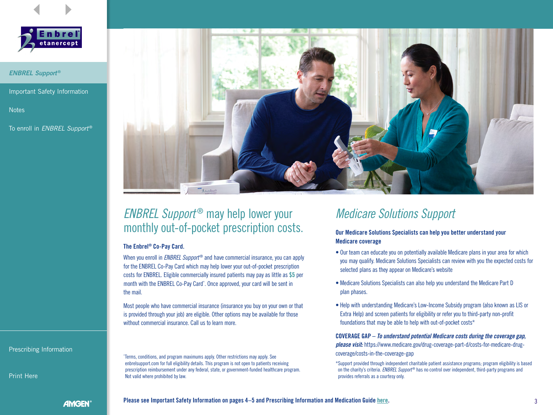



Important Safety Information

**Notes** 

To enroll in *ENBREL Support* ®



# *ENBREL Support<sup>®</sup>* may help lower your monthly out-of-pocket prescription costs.

#### The Enbrel® Co-Pay Card.

When you enroll in *ENBREL Support<sup>®</sup>* and have commercial insurance, you can apply for the ENBREL Co-Pay Card which may help lower your out-of-pocket prescription costs for ENBREL. Eligible commercially insured patients may pay as little as \$5 per month with the ENBREL Co-Pay Card\*. Once approved, your card will be sent in the mail.

Most people who have commercial insurance (insurance you buy on your own or that is provided through your job) are eligible. Other options may be available for those without commercial insurance. Call us to learn more.

Prescribing Information

Print Here

\* Terms, conditions, and program maximums apply. Other restrictions may apply. See enbrelsupport.com for full eligibility details. This program is not open to patients receiving prescription reimbursement under any federal, state, or government-funded healthcare program. Not valid where prohibited by law.

# *Medicare Solutions Support*

Our Medicare Solutions Specialists can help you better understand your Medicare coverage

- Our team can educate you on potentially available Medicare plans in your area for which you may qualify. Medicare Solutions Specialists can review with you the expected costs for selected plans as they appear on Medicare's website
- Medicare Solutions Specialists can also help you understand the Medicare Part D plan phases.
- Help with understanding Medicare's Low-Income Subsidy program (also known as LIS or Extra Help) and screen patients for eligibility or refer you to third-party non-profit foundations that may be able to help with out-of-pocket costs\*

COVERAGE GAP – *To understand potential Medicare costs during the coverage gap, please visit:* https://www.medicare.gov/drug-coverage-part-d/costs-for-medicare-drugcoverage/costs-in-the-coverage-gap

\*Support provided through independent charitable patient assistance programs; program eligibility is based on the charity's criteria. *ENBREL Support* ® has no control over independent, third-party programs and provides referrals as a courtesy only.

**AMGEN**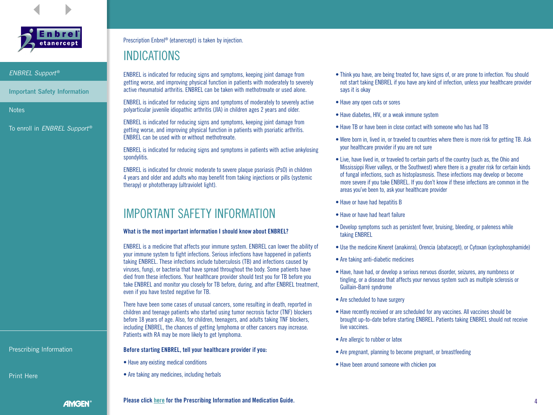



Important Safety Information

**Notes** 

To enroll in *ENBREL Support* ®

Prescription Enbrel® (etanercept) is taken by injection.

# INDICATIONS

ENBREL is indicated for reducing signs and symptoms, keeping joint damage from getting worse, and improving physical function in patients with moderately to severely active rheumatoid arthritis. ENBREL can be taken with methotrexate or used alone.

ENBREL is indicated for reducing signs and symptoms of moderately to severely active polyarticular juvenile idiopathic arthritis (JIA) in children ages 2 years and older.

ENBREL is indicated for reducing signs and symptoms, keeping joint damage from getting worse, and improving physical function in patients with psoriatic arthritis. ENBREL can be used with or without methotrexate.

ENBREL is indicated for reducing signs and symptoms in patients with active ankylosing spondylitis.

ENBREL is indicated for chronic moderate to severe plaque psoriasis (PsO) in children 4 years and older and adults who may benefit from taking injections or pills (systemic therapy) or phototherapy (ultraviolet light).

# IMPORTANT SAFETY INFORMATION

#### What is the most important information I should know about ENBREL?

ENBREL is a medicine that affects your immune system. ENBREL can lower the ability of your immune system to fight infections. Serious infections have happened in patients taking ENBREL. These infections include tuberculosis (TB) and infections caused by viruses, fungi, or bacteria that have spread throughout the body. Some patients have died from these infections. Your healthcare provider should test you for TB before you take ENBREL and monitor you closely for TB before, during, and after ENBREL treatment, even if you have tested negative for TB.

There have been some cases of unusual cancers, some resulting in death, reported in children and teenage patients who started using tumor necrosis factor (TNF) blockers before 18 years of age. Also, for children, teenagers, and adults taking TNF blockers, including ENBREL, the chances of getting lymphoma or other cancers may increase. Patients with RA may be more likely to get lymphoma.

#### Before starting ENBREL, tell your healthcare provider if you:

- Have any existing medical conditions
- Are taking any medicines, including herbals
- Think you have, are being treated for, have signs of, or are prone to infection. You should not start taking ENBREL if you have any kind of infection, unless your healthcare provider says it is okay
- Have any open cuts or sores
- Have diabetes, HIV, or a weak immune system
- Have TB or have been in close contact with someone who has had TB
- Were born in, lived in, or traveled to countries where there is more risk for getting TB. Ask your healthcare provider if you are not sure
- Live, have lived in, or traveled to certain parts of the country (such as, the Ohio and Mississippi River valleys, or the Southwest) where there is a greater risk for certain kinds of fungal infections, such as histoplasmosis. These infections may develop or become more severe if you take ENBREL. If you don't know if these infections are common in the areas you've been to, ask your healthcare provider
- Have or have had hepatitis B
- Have or have had heart failure
- Develop symptoms such as persistent fever, bruising, bleeding, or paleness while taking ENBREL
- Use the medicine Kineret (anakinra), Orencia (abatacept), or Cytoxan (cyclophosphamide)
- Are taking anti-diabetic medicines
- Have, have had, or develop a serious nervous disorder, seizures, any numbness or tingling, or a disease that affects your nervous system such as multiple sclerosis or Guillain-Barré syndrome
- Are scheduled to have surgery
- Have recently received or are scheduled for any vaccines. All vaccines should be brought up-to-date before starting ENBREL. Patients taking ENBREL should not receive live vaccines.
- Are allergic to rubber or latex
- Are pregnant, planning to become pregnant, or breastfeeding
- Have been around someone with chicken pox

Prescribing Information

Print Here

**AMGEN** 

#### Please click here for the Prescribing Information and Medication Guide.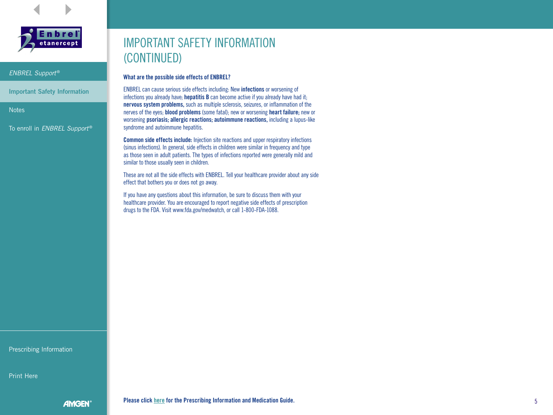



Important Safety Information

**Notes** 

To enroll in *ENBREL Support* ®

# IMPORTANT SAFETY INFORMATION (CONTINUED)

#### What are the possible side effects of ENBREL?

ENBREL can cause serious side effects including: New infections or worsening of infections you already have; **hepatitis B** can become active if you already have had it; nervous system problems, such as multiple sclerosis, seizures, or inflammation of the nerves of the eyes; blood problems (some fatal); new or worsening heart failure; new or worsening psoriasis; allergic reactions; autoimmune reactions, including a lupus-like syndrome and autoimmune hepatitis.

Common side effects include: Injection site reactions and upper respiratory infections (sinus infections). In general, side effects in children were similar in frequency and type as those seen in adult patients. The types of infections reported were generally mild and similar to those usually seen in children.

These are not all the side effects with ENBREL. Tell your healthcare provider about any side effect that bothers you or does not go away.

If you have any questions about this information, be sure to discuss them with your healthcare provider. You are encouraged to report negative side effects of prescription drugs to the FDA. Visit www.fda.gov/medwatch, or call 1-800-FDA-1088.

Prescribing Information

Print Here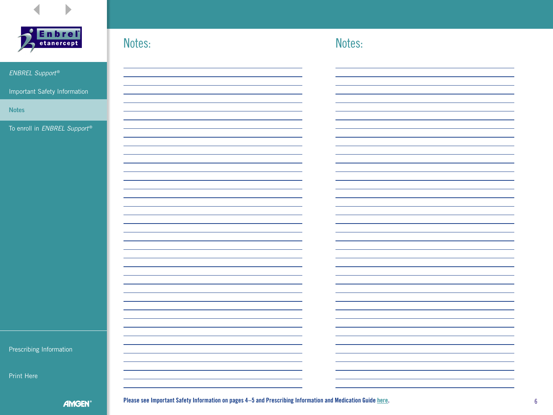



Please see Important Safety Information on pages 4–5 and Prescribing Information and Medication Guide here. 6 6